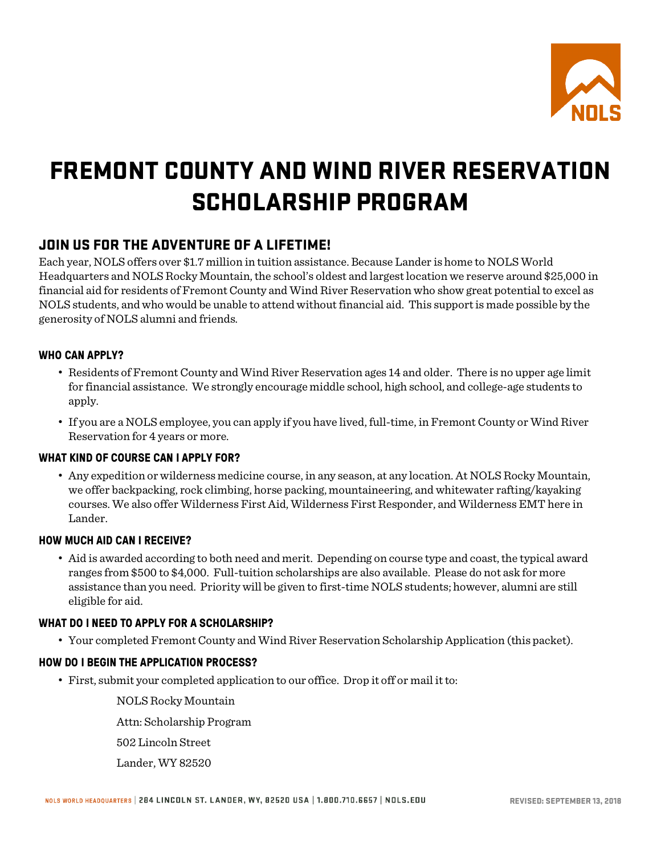

## FREMONT COUNTY AND WIND RIVER RESERVATION SCHOLARSHIP PROGRAM

### JOIN US FOR THE ADVENTURE OF A LIFETIME!

Each year, NOLS offers over \$1.7 million in tuition assistance. Because Lander is home to NOLS World Headquarters and NOLS Rocky Mountain, the school's oldest and largest location we reserve around \$25,000 in financial aid for residents of Fremont County and Wind River Reservation who show great potential to excel as NOLS students, and who would be unable to attend without financial aid. This support is made possible by the generosity of NOLS alumni and friends.

#### **WHO CAN APPLY?**

- Residents of Fremont County and Wind River Reservation ages 14 and older. There is no upper age limit for financial assistance. We strongly encourage middle school, high school, and college-age students to apply.
- If you are a NOLS employee, you can apply if you have lived, full-time, in Fremont County or Wind River Reservation for 4 years or more.

#### **WHAT KIND OF COURSE CAN I APPLY FOR?**

• Any expedition or wilderness medicine course, in any season, at any location. At NOLS Rocky Mountain, we offer backpacking, rock climbing, horse packing, mountaineering, and whitewater rafting/kayaking courses. We also offer Wilderness First Aid, Wilderness First Responder, and Wilderness EMT here in Lander.

#### **HOW MUCH AID CAN I RECEIVE?**

• Aid is awarded according to both need and merit. Depending on course type and coast, the typical award ranges from \$500 to \$4,000. Full-tuition scholarships are also available. Please do not ask for more assistance than you need. Priority will be given to first-time NOLS students; however, alumni are still eligible for aid.

#### **WHAT DO I NEED TO APPLY FOR A SCHOLARSHIP?**

• Your completed Fremont County and Wind River Reservation Scholarship Application (this packet).

#### **HOW DO I BEGIN THE APPLICATION PROCESS?**

• First, submit your completed application to our office. Drop it off or mail it to:

NOLS Rocky Mountain

Attn: Scholarship Program

502 Lincoln Street

Lander, WY 82520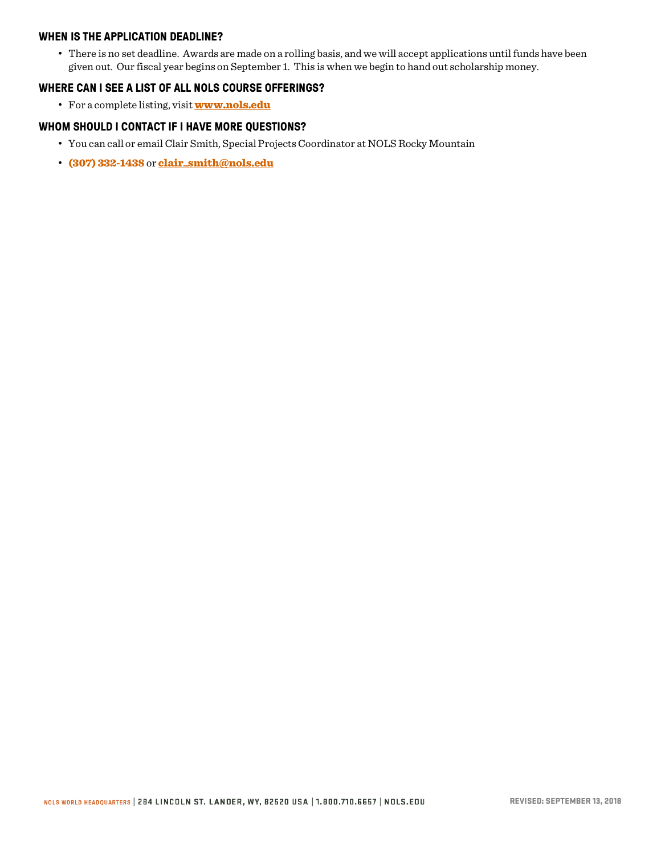#### **WHEN IS THE APPLICATION DEADLINE?**

• There is no set deadline. Awards are made on a rolling basis, and we will accept applications until funds have been given out. Our fiscal year begins on September 1. This is when we begin to hand out scholarship money.

#### **WHERE CAN I SEE A LIST OF ALL NOLS COURSE OFFERINGS?**

• For a complete listing, visit **www.nols.edu** 

#### **WHOM SHOULD I CONTACT IF I HAVE MORE QUESTIONS?**

- You can call or email Clair Smith, Special Projects Coordinator at NOLS Rocky Mountain
- (307) 332-1438 or clair\_smith@nols.edu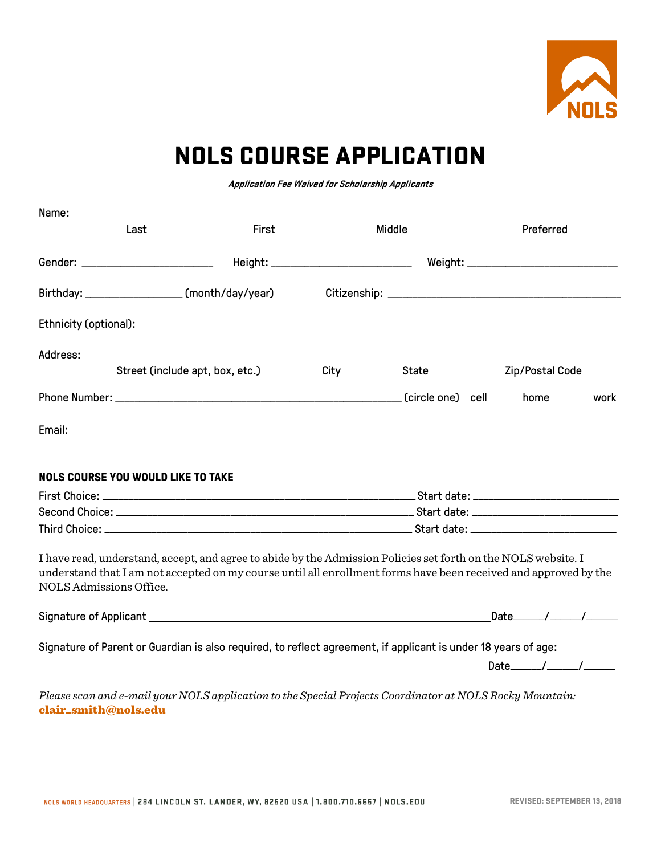

### NOLS COURSE APPLICATION

**Application Fee Waived for Scholarship Applicants**

| Last                                            | First                                                                                                                                                                                                                              |      | Middle            | Preferred       |      |
|-------------------------------------------------|------------------------------------------------------------------------------------------------------------------------------------------------------------------------------------------------------------------------------------|------|-------------------|-----------------|------|
| Gender: _________________________               |                                                                                                                                                                                                                                    |      |                   |                 |      |
| Birthday: _____________________(month/day/year) |                                                                                                                                                                                                                                    |      |                   |                 |      |
|                                                 |                                                                                                                                                                                                                                    |      |                   |                 |      |
|                                                 |                                                                                                                                                                                                                                    |      |                   |                 |      |
|                                                 | Street (include apt, box, etc.)                                                                                                                                                                                                    | City | State             | Zip/Postal Code |      |
|                                                 |                                                                                                                                                                                                                                    |      | (circle one) cell | home            | work |
|                                                 |                                                                                                                                                                                                                                    |      |                   |                 |      |
| <b>NOLS COURSE YOU WOULD LIKE TO TAKE</b>       |                                                                                                                                                                                                                                    |      |                   |                 |      |
|                                                 |                                                                                                                                                                                                                                    |      |                   |                 |      |
|                                                 |                                                                                                                                                                                                                                    |      |                   |                 |      |
| NOLS Admissions Office.                         | I have read, understand, accept, and agree to abide by the Admission Policies set forth on the NOLS website. I<br>understand that I am not accepted on my course until all enrollment forms have been received and approved by the |      |                   |                 |      |
|                                                 |                                                                                                                                                                                                                                    |      |                   |                 |      |
|                                                 | Signature of Parent or Guardian is also required, to reflect agreement, if applicant is under 18 years of age:                                                                                                                     |      |                   |                 |      |
|                                                 | <u> 1980 - Andrea Brand, Amerikaansk politiker (</u> † 1908)                                                                                                                                                                       |      |                   |                 |      |
| clair_smith@nols.edu                            | Please scan and e-mail your NOLS application to the Special Projects Coordinator at NOLS Rocky Mountain:                                                                                                                           |      |                   |                 |      |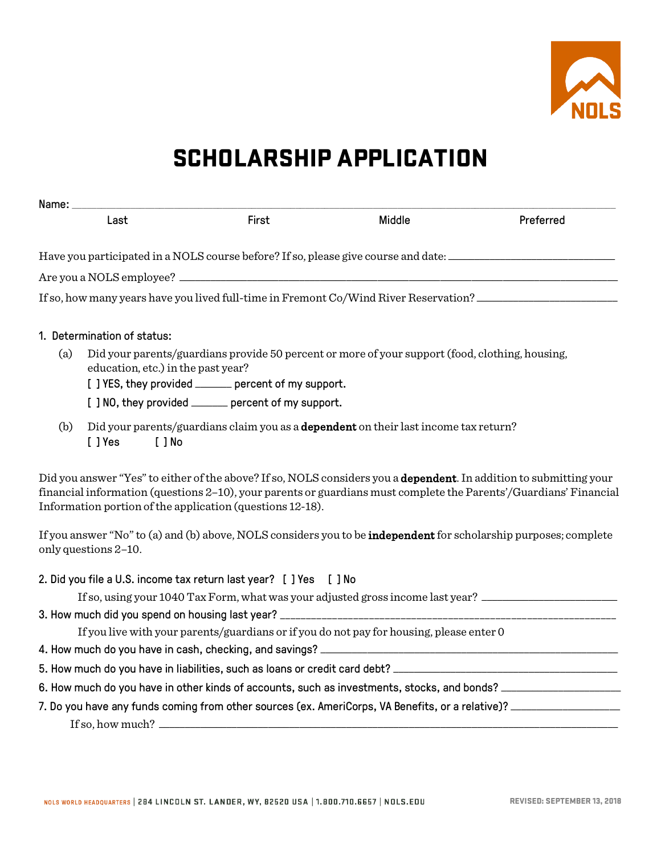

### SCHOLARSHIP APPLICATION

|     | Name: _______                      |                                                                                                                                                         |        |                                                                                                                                                                                                                                         |
|-----|------------------------------------|---------------------------------------------------------------------------------------------------------------------------------------------------------|--------|-----------------------------------------------------------------------------------------------------------------------------------------------------------------------------------------------------------------------------------------|
|     | Last                               | First                                                                                                                                                   | Middle | Preferred                                                                                                                                                                                                                               |
|     |                                    |                                                                                                                                                         |        | Have you participated in a NOLS course before? If so, please give course and date: ___________________________                                                                                                                          |
|     |                                    |                                                                                                                                                         |        |                                                                                                                                                                                                                                         |
|     |                                    |                                                                                                                                                         |        | If so, how many years have you lived full-time in Fremont Co/Wind River Reservation?                                                                                                                                                    |
|     | 1. Determination of status:        |                                                                                                                                                         |        |                                                                                                                                                                                                                                         |
| (a) | education, etc.) in the past year? | Did your parents/guardians provide 50 percent or more of your support (food, clothing, housing,<br>[ ] YES, they provided ______ percent of my support. |        |                                                                                                                                                                                                                                         |
|     |                                    | [ ] NO, they provided ______ percent of my support.                                                                                                     |        |                                                                                                                                                                                                                                         |
| (b) | [ ] Yes<br>[ ] No                  | Did your parents/guardians claim you as a <b>dependent</b> on their last income tax return?                                                             |        |                                                                                                                                                                                                                                         |
|     |                                    | Information portion of the application (questions 12-18).                                                                                               |        | Did you answer "Yes" to either of the above? If so, NOLS considers you a dependent. In addition to submitting your<br>financial information (questions 2-10), your parents or guardians must complete the Parents'/Guardians' Financial |
|     | only questions 2-10.               |                                                                                                                                                         |        | If you answer "No" to (a) and (b) above, NOLS considers you to be <b>independent</b> for scholarship purposes; complete                                                                                                                 |
|     |                                    | 2. Did you file a U.S. income tax return last year? [ ] Yes [ ] No                                                                                      |        |                                                                                                                                                                                                                                         |
|     |                                    |                                                                                                                                                         |        | If so, using your 1040 Tax Form, what was your adjusted gross income last year?                                                                                                                                                         |
|     |                                    |                                                                                                                                                         |        |                                                                                                                                                                                                                                         |
|     |                                    | If you live with your parents/guardians or if you do not pay for housing, please enter 0                                                                |        |                                                                                                                                                                                                                                         |
|     |                                    |                                                                                                                                                         |        |                                                                                                                                                                                                                                         |
|     |                                    |                                                                                                                                                         |        | 5. How much do you have in liabilities, such as loans or credit card debt? ___________________________________                                                                                                                          |
|     |                                    |                                                                                                                                                         |        | 6. How much do you have in other kinds of accounts, such as investments, stocks, and bonds? __________________                                                                                                                          |
|     |                                    |                                                                                                                                                         |        | 7. Do you have any funds coming from other sources (ex. AmeriCorps, VA Benefits, or a relative)? _____________                                                                                                                          |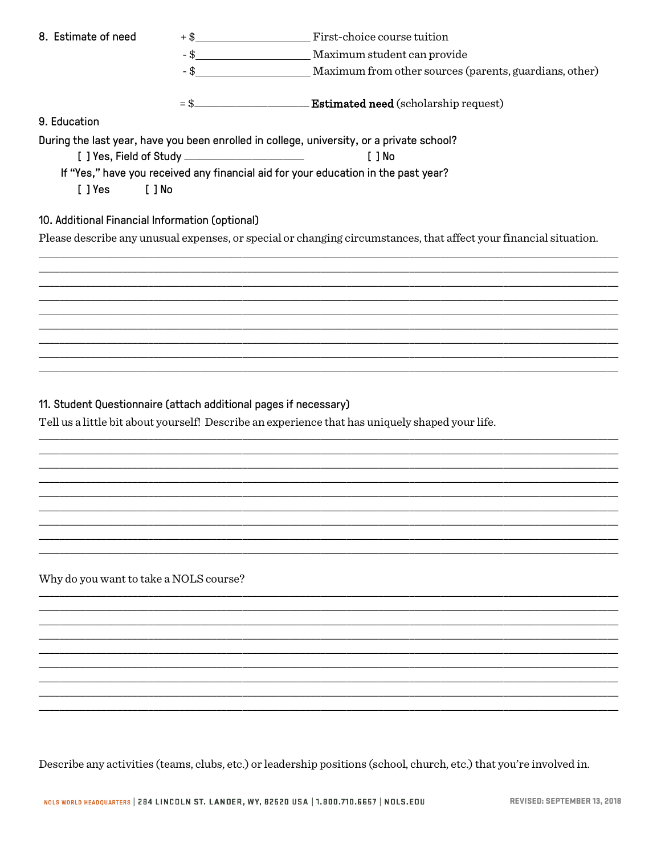| 8. Estimate of need                                              |                                                                                                                   |
|------------------------------------------------------------------|-------------------------------------------------------------------------------------------------------------------|
|                                                                  |                                                                                                                   |
|                                                                  |                                                                                                                   |
|                                                                  |                                                                                                                   |
|                                                                  | = \$___________________________Estimated need (scholarship request)                                               |
| 9. Education                                                     |                                                                                                                   |
|                                                                  | During the last year, have you been enrolled in college, university, or a private school?                         |
|                                                                  | $[ ]$ No                                                                                                          |
|                                                                  | If "Yes," have you received any financial aid for your education in the past year?                                |
| [ ] Yes<br>$[$ $]$ No                                            |                                                                                                                   |
|                                                                  |                                                                                                                   |
| 10. Additional Financial Information (optional)                  |                                                                                                                   |
|                                                                  | Please describe any unusual expenses, or special or changing circumstances, that affect your financial situation. |
|                                                                  |                                                                                                                   |
|                                                                  |                                                                                                                   |
|                                                                  |                                                                                                                   |
|                                                                  |                                                                                                                   |
|                                                                  |                                                                                                                   |
|                                                                  |                                                                                                                   |
|                                                                  |                                                                                                                   |
|                                                                  |                                                                                                                   |
|                                                                  |                                                                                                                   |
| 11. Student Questionnaire (attach additional pages if necessary) |                                                                                                                   |
|                                                                  | Tell us a little bit about yourself! Describe an experience that has uniquely shaped your life.                   |
|                                                                  |                                                                                                                   |
|                                                                  |                                                                                                                   |
|                                                                  |                                                                                                                   |
|                                                                  |                                                                                                                   |
|                                                                  |                                                                                                                   |
|                                                                  |                                                                                                                   |
|                                                                  |                                                                                                                   |
|                                                                  |                                                                                                                   |
| Why do you want to take a NOLS course?                           |                                                                                                                   |
|                                                                  |                                                                                                                   |
|                                                                  |                                                                                                                   |
|                                                                  |                                                                                                                   |
|                                                                  |                                                                                                                   |

Describe any activities (teams, clubs, etc.) or leadership positions (school, church, etc.) that you're involved in.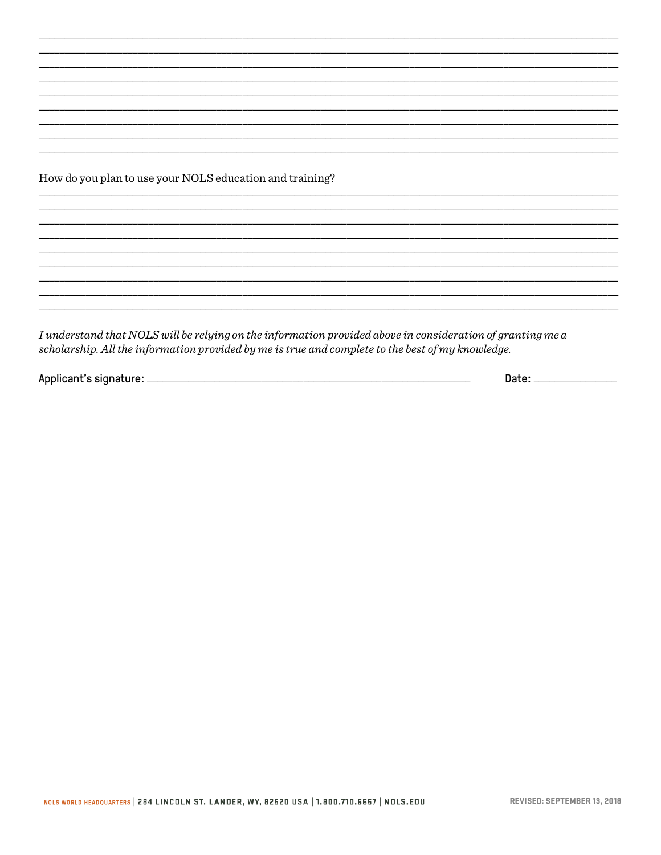How do you plan to use your NOLS education and training?

I understand that NOLS will be relying on the information provided above in consideration of granting me a scholarship. All the information provided by me is true and complete to the best of my knowledge.